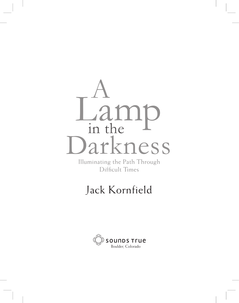

Illuminating the Path Through Difficult Times

# Jack Kornfield

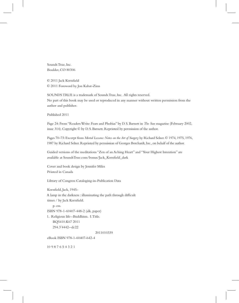Sounds True, Inc. Boulder, CO 80306

© 2011 Jack Kornfield © 2011 Foreword by Jon Kabat-Zinn

SOUNDS TRUE is a trademark of Sounds True, Inc. All rights reserved. No part of this book may be used or reproduced in any manner without written permission from the author and publisher.

Published 2011

Page 24: From "Readers Write: Fears and Phobias" by D. S. Barnett in *The Sun* magazine (February 2002, issue 314). Copyright © by D. S. Barnett. Reprinted by permission of the author.

Pages 70–73: Excerpt from *Mortal Lessons: Notes on the Art of Surgery* by Richard Selzer. © 1974, 1975, 1976, 1987 by Richard Selzer. Reprinted by permission of Georges Borchardt, Inc., on behalf of the author.

Guided versions of the meditations "Zen of an Aching Heart" and "Your Highest Intention" are available at SoundsTrue.com/bonus/Jack\_Kornfield\_dark

Cover and book design by Jennifer Miles Printed in Canada

Library of Congress Cataloging-in-Publication Data

Kornfield, Jack, 1945- A lamp in the darkness : illuminating the path through difficult times / by Jack Kornfield.

p. cm.

ISBN 978-1-60407-448-2 (alk. paper) 1. Religious life--Buddhism. I. Title.

BQ5410.K67 2011 294.3'4442--dc22

2011010339

eBook ISBN 978-1-60407-642-4

10 9 8 7 6 5 4 3 2 1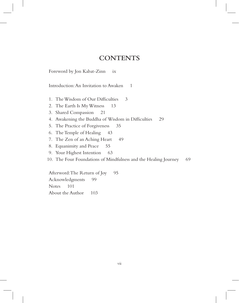# **CONTENTS**

Foreword by Jon Kabat-Zinn ix

Introduction: An Invitation to Awaken 1

- 1. The Wisdom of Our Difficulties 3
- 2. The Earth Is My Witness 13
- 3. Shared Compassion 21
- 4. Awakening the Buddha of Wisdom in Difficulties 29
- 5. The Practice of Forgiveness 35
- 6. The Temple of Healing 43
- 7. The Zen of an Aching Heart 49
- 8. Equanimity and Peace 55
- 9. Your Highest Intention 63
- 10. The Four Foundations of Mindfulness and the Healing Journey 69

Afterword: The Return of Joy 95 Acknowledgments 99 Notes 101 About the Author 103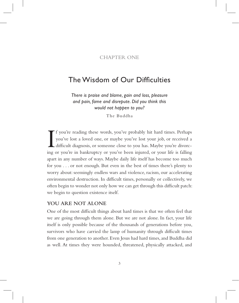## CHAPTER ONE

# The Wisdom of Our Difficulties

*There is praise and blame, gain and loss, pleasure and pain, fame and disrepute. Did you think this would not happen to you?*

The Buddha

If you're reading these words, you've probably hit hard times. Perhaps you've lost a loved one, or maybe you've lost your job, or received a difficult diagnosis, or someone close to you has. Maybe you're divorcing or you'r f you're reading these words, you've probably hit hard times. Perhaps you've lost a loved one, or maybe you've lost your job, or received a difficult diagnosis, or someone close to you has. Maybe you're divorcapart in any number of ways. Maybe daily life itself has become too much for you . . . or not enough. But even in the best of times there's plenty to worry about: seemingly endless wars and violence, racism, our accelerating environmental destruction. In difficult times, personally or collectively, we often begin to wonder not only how we can get through this difficult patch: we begin to question existence itself.

#### **YOU ARE NOT ALONE**

One of the most difficult things about hard times is that we often feel that we are going through them alone. But we are not alone. In fact, your life itself is only possible because of the thousands of generations before you, survivors who have carried the lamp of humanity through difficult times from one generation to another. Even Jesus had hard times, and Buddha did as well. At times they were hounded, threatened, physically attacked, and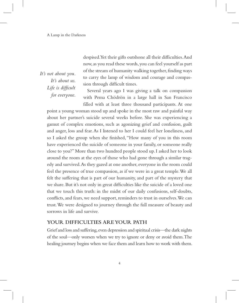*It's not about you. It's about us. Life is difficult for everyone.*

despised. Yet their gifts outshone all their difficulties. And now, as you read these words, you can feel yourself as part of the stream of humanity walking together, finding ways to carry the lamp of wisdom and courage and compassion through difficult times.

Several years ago I was giving a talk on compassion with Pema Chödrön in a large hall in San Francisco filled with at least three thousand participants. At one

point a young woman stood up and spoke in the most raw and painful way about her partner's suicide several weeks before. She was experiencing a gamut of complex emotions, such as agonizing grief and confusion, guilt and anger, loss and fear. As I listened to her I could feel her loneliness, and so I asked the group when she finished, "How many of you in this room have experienced the suicide of someone in your family, or someone really close to you?" More than two hundred people stood up. I asked her to look around the room at the eyes of those who had gone through a similar tragedy and survived. As they gazed at one another, everyone in the room could feel the presence of true compassion, as if we were in a great temple. We all felt the suffering that is part of our humanity, and part of the mystery that we share. But it's not only in great difficulties like the suicide of a loved one that we touch this truth: in the midst of our daily confusions, self-doubts, conflicts, and fears, we need support, reminders to trust in ourselves. We can trust. We were designed to journey through the full measure of beauty and sorrows in life and survive.

# **YOUR DIFFICULTIES ARE YOUR PATH**

Grief and loss and suffering, even depression and spiritual crisis—the dark nights of the soul—only worsen when we try to ignore or deny or avoid them. The healing journey begins when we face them and learn how to work with them.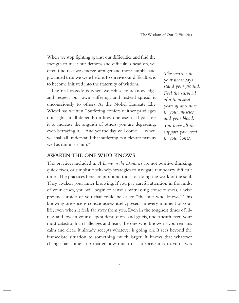When we stop fighting against our difficulties and find the strength to meet our demons and difficulties head on, we often find that we emerge stronger and more humble and grounded than we were before. To survive our difficulties is to become initiated into the fraternity of wisdom.

The real tragedy is when we refuse to acknowledge and respect our own suffering, and instead spread it unconsciously to others. As the Nobel Laureate Elie Wiesel has written, "Suffering confers neither privileges nor rights; it all depends on how one uses it. If you use it to increase the anguish of others, you are degrading, even betraying it. . . And yet the day will come . . . when we shall all understand that suffering can elevate man as well as diminish him."1

*The warrior in your heart says stand your ground. Feel the survival of a thousand years of ancestors in your muscles and your blood. You have all the support you need in your bones.*

# **AWAKEN THE ONE WHO KNOWS**

The practices included in *A Lamp in the Darkness* are not positive thinking, quick fixes, or simplistic self-help strategies to navigate temporary difficult times. The practices here are profound tools for doing the work of the soul. They awaken your inner knowing. If you pay careful attention in the midst of your crises, you will begin to sense a witnessing consciousness, a wise presence inside of you that could be called "the one who knows." This knowing presence is consciousness itself, present in every moment of your life, even when it feels far away from you. Even in the toughest times of illness and loss, in your deepest depressions and griefs, underneath even your most catastrophic challenges and fears, the one who knows in you remains calm and clear. It already accepts whatever is going on. It sees beyond the immediate situation to something much larger. It knows that whatever change has come—no matter how much of a surprise it is to you—was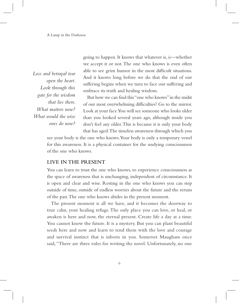*Loss and betrayal tear open the heart. Look through this gate for the wisdom that lies there. What matters now? What would the wise ones do now?*

going to happen. It knows that whatever is, *is*—whether we accept it or not. The one who knows is even often able to see grim humor in the most difficult situations. And it knows long before we do that the end of our suffering begins when we turn to face our suffering and embrace its truth and healing wisdom.

But how we can find this "one who knows" in the midst of our most overwhelming difficulties? Go to the mirror. Look at your face. You will see someone who looks older than you looked several years ago, although inside you don't feel any older. This is because it is only your body that has aged. The timeless awareness through which you

see your body is the one who knows. Your body is only a temporary vessel for this awareness. It is a physical container for the undying consciousness of the one who knows.

#### **LIVE IN THE PRESENT**

You can learn to trust the one who knows, to experience consciousness as the space of awareness that is unchanging, independent of circumstance. It is open and clear and wise. Resting in the one who knows you can step outside of time, outside of endless worries about the future and the reruns of the past. The one who knows abides in the present moment.

The present moment is all we have, and it becomes the doorway to true calm, your healing refuge. The only place you can love, or heal, or awaken is here and now, the eternal present. Create life a day at a time. You cannot know the future. It is a mystery. But you can plant beautiful seeds here and now and learn to tend them with the love and courage and survival instinct that is inborn in you. Somerset Maugham once said, "There are three rules for writing the novel. Unfortunately, no one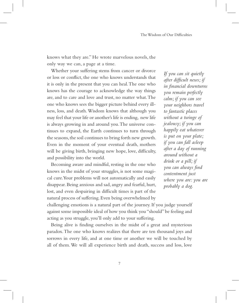knows what they are." He wrote marvelous novels, the only way we can, a page at a time.

Whether your suffering stems from cancer or divorce or loss or conflict, the one who knows understands that it is only in the present that you can heal. The one who knows has the courage to acknowledge the way things are, and to care and love and trust, no matter what. The one who knows sees the bigger picture behind every illness, loss, and death. Wisdom knows that although you may feel that your life or another's life is ending, new life is always growing in and around you. The universe continues to expand, the Earth continues to turn through the seasons, the soil continues to bring forth new growth. Even in the moment of your eventual death, mothers will be giving birth, bringing new hope, love, difficulty, and possibility into the world.

Becoming aware and mindful, resting in the one who knows in the midst of your struggles, is not some magical cure. Your problems will not automatically and easily disappear. Being anxious and sad, angry and fearful, hurt, lost, and even despairing in difficult times is part of the natural process of suffering. Even being overwhelmed by

*If you can sit quietly after difficult news; if in financial downturns you remain perfectly calm; if you can see your neighbors travel to fantastic places without a twinge of jealousy; if you can happily eat whatever is put on your plate; if you can fall asleep after a day of running around without a drink or a pill; if you can always find contentment just where you are: you are probably a dog.*

challenging emotions is a natural part of the journey. If you judge yourself against some impossible ideal of how you think you "should" be feeling and acting as you struggle, you'll only add to your suffering.

Being alive is finding ourselves in the midst of a great and mysterious paradox. The one who knows realizes that there are ten thousand joys and sorrows in every life, and at one time or another we will be touched by all of them. We will all experience birth and death, success and loss, love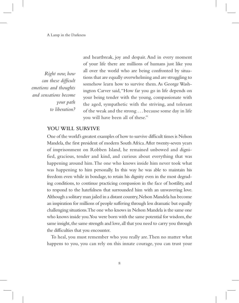*Right now, how can these difficult emotions and thoughts and sensations become your path to liberation?*

and heartbreak, joy and despair. And in every moment of your life there are millions of humans just like you all over the world who are being confronted by situations that are equally overwhelming and are struggling to somehow learn how to survive them. As George Washington Carver said, "How far you go in life depends on your being tender with the young, compassionate with the aged, sympathetic with the striving, and tolerant of the weak and the strong . . . because some day in life you will have been all of these."

# **YOU WILL SURVIVE**

One of the world's greatest examples of how to survive difficult times is Nelson Mandela, the first president of modern South Africa. After twenty-seven years of imprisonment on Robben Island, he remained unbowed and dignified, gracious, tender and kind, and curious about everything that was happening around him. The one who knows inside him never took what was happening to him personally. In this way he was able to maintain his freedom even while in bondage, to retain his dignity even in the most degrading conditions, to continue practicing compassion in the face of hostility, and to respond to the hatefulness that surrounded him with an unwavering love. Although a solitary man jailed in a distant country, Nelson Mandela has become an inspiration for millions of people suffering through less dramatic but equally challenging situations. The one who knows in Nelson Mandela is the same one who knows inside you. You were born with the same potential for wisdom, the same insight, the same strength and love, all that you need to carry you through the difficulties that you encounter.

To heal, you must remember who you really are. Then no matter what happens to you, you can rely on this innate courage, you can trust your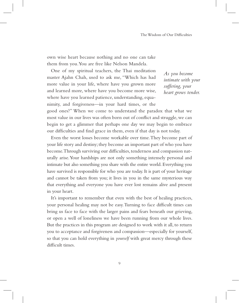own wise heart because nothing and no one can take them from you. You are free like Nelson Mandela.

One of my spiritual teachers, the Thai meditation master Ajahn Chah, used to ask me, "Which has had more value in your life, where have you grown more and learned more, where have you become more wise, where have you learned patience, understanding, equanimity, and forgiveness—in your hard times, or the

*As you become intimate with your suffering, your heart grows tender.*

good ones?" When we come to understand the paradox that what we most value in our lives was often born out of conflict and struggle, we can begin to get a glimmer that perhaps one day we may begin to embrace our difficulties and find grace in them, even if that day is not today.

Even the worst losses become workable over time. They become part of your life story and destiny; they become an important part of who you have become. Through surviving our difficulties, tenderness and compassion naturally arise. Your hardships are not only something intensely personal and intimate but also something you share with the entire world. Everything you have survived is responsible for who you are today. It is part of your heritage and cannot be taken from you; it lives in you in the same mysterious way that everything and everyone you have ever lost remains alive and present in your heart.

It's important to remember that even with the best of healing practices, your personal healing may not be easy. Turning to face difficult times can bring us face to face with the larger pains and fears beneath our grieving, or open a well of loneliness we have been running from our whole lives. But the practices in this program are designed to work with it all, to return you to acceptance and forgiveness and compassion—especially for yourself, so that you can hold everything in *yourself* with great mercy through these difficult times.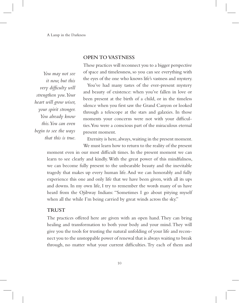#### **OPEN TO VASTNESS**

These practices will reconnect you to a bigger perspective of space and timelessness, so you can see everything with the eyes of the one who knows life's vastness and mystery.

You've had many tastes of the ever-present mystery and beauty of existence: when you've fallen in love or been present at the birth of a child, or in the timeless silence when you first saw the Grand Canyon or looked through a telescope at the stars and galaxies. In those moments your concerns were not with your difficulties. You were a conscious part of the miraculous eternal present moment.

Eternity is here, always, waiting in the present moment.

We must learn how to return to the reality of the present moment even in our most difficult times. In the present moment we can learn to see clearly and kindly. With the great power of this mindfulness, we can become fully present to the unbearable beauty and the inevitable tragedy that makes up every human life. And we can honorably and fully experience this one and only life that we have been given, with all its ups and downs. In my own life, I try to remember the words many of us have heard from the Ojibway Indians: "Sometimes I go about pitying myself when all the while I'm being carried by great winds across the sky."

### **TRUST**

The practices offered here are given with an open hand. They can bring healing and transformation to both your body and your mind. They will give you the tools for trusting the natural unfolding of your life and reconnect you to the unstoppable power of renewal that is always waiting to break through, no matter what your current difficulties. Try each of them and

*You may not see it now, but this very difficulty will strengthen you. Your heart will grow wiser, your spirit stronger. You already know this. You can even begin to see the ways that this is true.*